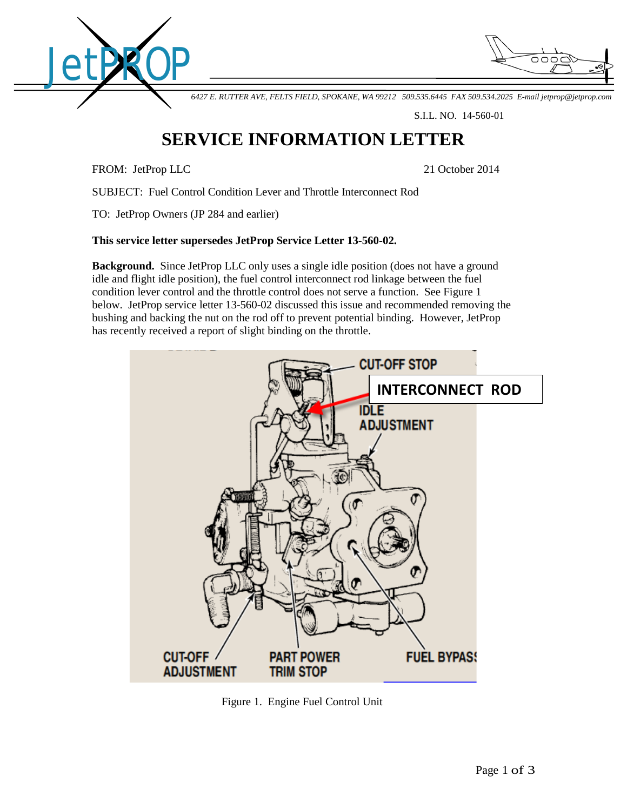



*6427 E. RUTTER AVE, FELTS FIELD, SPOKANE, WA 99212 509.535.6445 FAX 509.534.2025 E-mail [jetprop@jetprop.com](mailto:jetprop@jetprop.com)*

S.I.L. NO. 14-560-01

## **SERVICE INFORMATION LETTER**

FROM: JetProp LLC 21 October 2014

SUBJECT: Fuel Control Condition Lever and Throttle Interconnect Rod

TO: JetProp Owners (JP 284 and earlier)

## **This service letter supersedes JetProp Service Letter 13-560-02.**

**Background.** Since JetProp LLC only uses a single idle position (does not have a ground idle and flight idle position), the fuel control interconnect rod linkage between the fuel condition lever control and the throttle control does not serve a function. See Figure 1 below. JetProp service letter 13-560-02 discussed this issue and recommended removing the bushing and backing the nut on the rod off to prevent potential binding. However, JetProp has recently received a report of slight binding on the throttle.



Figure 1. Engine Fuel Control Unit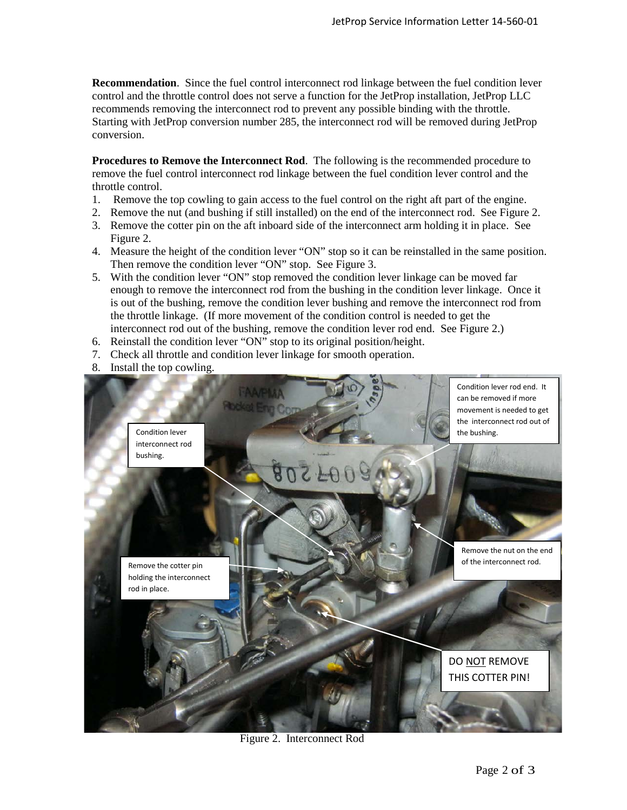**Recommendation**. Since the fuel control interconnect rod linkage between the fuel condition lever control and the throttle control does not serve a function for the JetProp installation, JetProp LLC recommends removing the interconnect rod to prevent any possible binding with the throttle. Starting with JetProp conversion number 285, the interconnect rod will be removed during JetProp conversion.

**Procedures to Remove the Interconnect Rod**. The following is the recommended procedure to remove the fuel control interconnect rod linkage between the fuel condition lever control and the throttle control.

- 1. Remove the top cowling to gain access to the fuel control on the right aft part of the engine.
- 2. Remove the nut (and bushing if still installed) on the end of the interconnect rod. See Figure 2.
- 3. Remove the cotter pin on the aft inboard side of the interconnect arm holding it in place. See Figure 2.
- 4. Measure the height of the condition lever "ON" stop so it can be reinstalled in the same position. Then remove the condition lever "ON" stop. See Figure 3.
- 5. With the condition lever "ON" stop removed the condition lever linkage can be moved far enough to remove the interconnect rod from the bushing in the condition lever linkage. Once it is out of the bushing, remove the condition lever bushing and remove the interconnect rod from the throttle linkage. (If more movement of the condition control is needed to get the interconnect rod out of the bushing, remove the condition lever rod end. See Figure 2.)
- 6. Reinstall the condition lever "ON" stop to its original position/height.
- 7. Check all throttle and condition lever linkage for smooth operation.
- 8. Install the top cowling.



Figure 2. Interconnect Rod